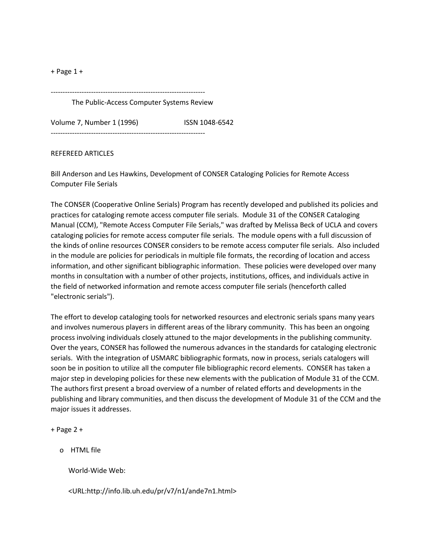+ Page 1 +

The Public-Access Computer Systems Review

-----------------------------------------------------------------

Volume 7, Number 1 (1996) ISSN 1048-6542

-----------------------------------------------------------------

## REFEREED ARTICLES

Bill Anderson and Les Hawkins, Development of CONSER Cataloging Policies for Remote Access Computer File Serials

The CONSER (Cooperative Online Serials) Program has recently developed and published its policies and practices for cataloging remote access computer file serials. Module 31 of the CONSER Cataloging Manual (CCM), "Remote Access Computer File Serials," was drafted by Melissa Beck of UCLA and covers cataloging policies for remote access computer file serials. The module opens with a full discussion of the kinds of online resources CONSER considers to be remote access computer file serials. Also included in the module are policies for periodicals in multiple file formats, the recording of location and access information, and other significant bibliographic information. These policies were developed over many months in consultation with a number of other projects, institutions, offices, and individuals active in the field of networked information and remote access computer file serials (henceforth called "electronic serials").

The effort to develop cataloging tools for networked resources and electronic serials spans many years and involves numerous players in different areas of the library community. This has been an ongoing process involving individuals closely attuned to the major developments in the publishing community. Over the years, CONSER has followed the numerous advances in the standards for cataloging electronic serials. With the integration of USMARC bibliographic formats, now in process, serials catalogers will soon be in position to utilize all the computer file bibliographic record elements. CONSER has taken a major step in developing policies for these new elements with the publication of Module 31 of the CCM. The authors first present a broad overview of a number of related efforts and developments in the publishing and library communities, and then discuss the development of Module 31 of the CCM and the major issues it addresses.

+ Page 2 +

o HTML file

World-Wide Web:

<URL:http://info.lib.uh.edu/pr/v7/n1/ande7n1.html>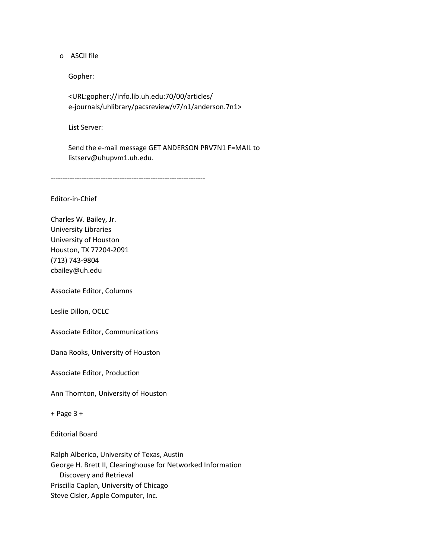o ASCII file

Gopher:

 <URL:gopher://info.lib.uh.edu:70/00/articles/ e-journals/uhlibrary/pacsreview/v7/n1/anderson.7n1>

List Server:

 Send the e-mail message GET ANDERSON PRV7N1 F=MAIL to listserv@uhupvm1.uh.edu.

-----------------------------------------------------------------

Editor-in-Chief

Charles W. Bailey, Jr. University Libraries University of Houston Houston, TX 77204-2091 (713) 743-9804 cbailey@uh.edu

Associate Editor, Columns

Leslie Dillon, OCLC

Associate Editor, Communications

Dana Rooks, University of Houston

Associate Editor, Production

Ann Thornton, University of Houston

+ Page 3 +

Editorial Board

Ralph Alberico, University of Texas, Austin George H. Brett II, Clearinghouse for Networked Information Discovery and Retrieval Priscilla Caplan, University of Chicago Steve Cisler, Apple Computer, Inc.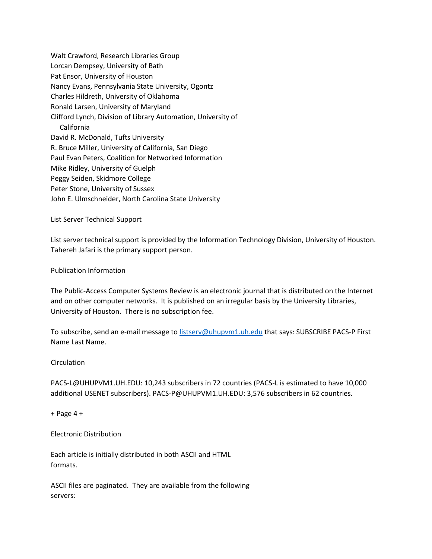Walt Crawford, Research Libraries Group Lorcan Dempsey, University of Bath Pat Ensor, University of Houston Nancy Evans, Pennsylvania State University, Ogontz Charles Hildreth, University of Oklahoma Ronald Larsen, University of Maryland Clifford Lynch, Division of Library Automation, University of California David R. McDonald, Tufts University R. Bruce Miller, University of California, San Diego Paul Evan Peters, Coalition for Networked Information Mike Ridley, University of Guelph Peggy Seiden, Skidmore College Peter Stone, University of Sussex John E. Ulmschneider, North Carolina State University

List Server Technical Support

List server technical support is provided by the Information Technology Division, University of Houston. Tahereh Jafari is the primary support person.

## Publication Information

The Public-Access Computer Systems Review is an electronic journal that is distributed on the Internet and on other computer networks. It is published on an irregular basis by the University Libraries, University of Houston. There is no subscription fee.

To subscribe, send an e-mail message to [listserv@uhupvm1.uh.edu](mailto:listserv@uhupvm1.uh.edu) that says: SUBSCRIBE PACS-P First Name Last Name.

## **Circulation**

PACS-L@UHUPVM1.UH.EDU: 10,243 subscribers in 72 countries (PACS-L is estimated to have 10,000 additional USENET subscribers). PACS-P@UHUPVM1.UH.EDU: 3,576 subscribers in 62 countries.

+ Page 4 +

Electronic Distribution

Each article is initially distributed in both ASCII and HTML formats.

ASCII files are paginated. They are available from the following servers: